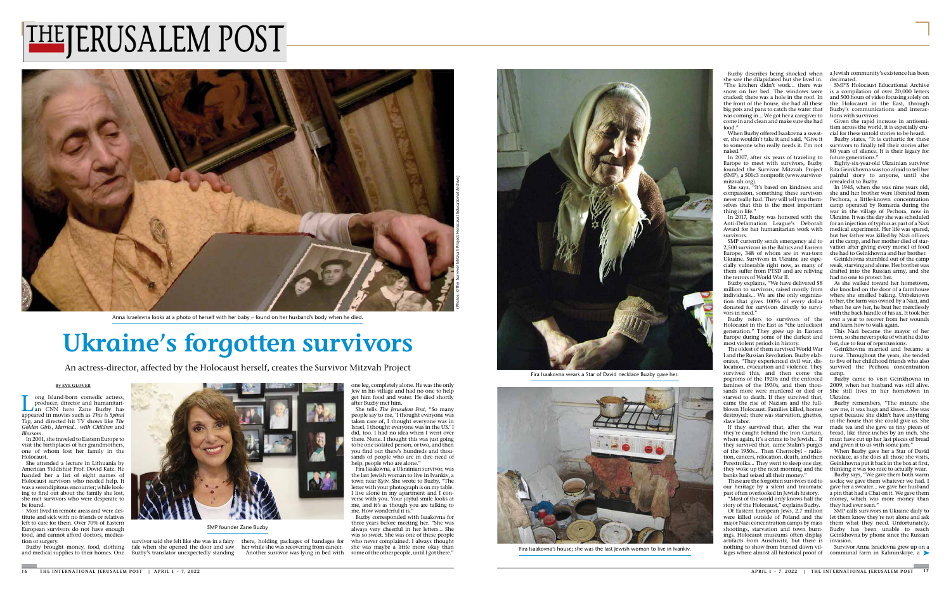## **Ukraine's forgotten survivors**

An actress-director, affected by the Holocaust herself, creates the Survivor Mitzvah Project

ong Island-born comedic actress. producer, director and humanitarian CNN hero Zane Buzby has appeared in movies such as *This is Spinal Tap*, and directed hit TV shows like *The Golden Girls*, *Married… with Children* and *Blossom*.

In 2001, she traveled to Eastern Europe to visit the birthplaces of her grandmothers, one of whom lost her family in the **Holocaust** 

## **By EVE GLOVER**

She attended a lecture in Lithuania by American Yiddishist Prof. Dovid Katz. He handed her a list of eight names of Holocaust survivors who needed help. It was a serendipitous encounter; while looking to find out about the family she lost, she met survivors who were desperate to be found.

Most lived in remote areas and were destitute and sick with no friends or relatives left to care for them. Over 70% of Eastern European survivors do not have enough food, and cannot afford doctors, medication or surgery.

Buzby corresponded with Isaakovna for three years before meeting her. "She was always very cheerful in her letters... She was so sweet. She was one of these people who never complained. I always thought she was maybe a little more okay than some of the other people, until I got there."





Buzby brought money, food, clothing and medical supplies to their homes. One Buzby's translator unexpectedly standing

Buzby describes being shocked when she saw the dilapidated hut she lived in. "The kitchen didn't work... there was snow on her bed. The windows were cracked; there was a hole in the roof. In the front of the house, she had all these big pots and pans to catch the water that was coming in... We got her a caregiver to come in and clean and make sure she had food<sup>'</sup>

survivor said she felt like she was in a fairy there, holding packages of bandages for tale when she opened the door and saw her while she was recovering from cancer. Another survivor was lying in bed with

When Buzby offered Isaakovna a sweater, she wouldn't take it and said, "Give it to someone who really needs it. I'm not naked<sup>'</sup>

one leg, completely alone. He was the only Jew in his village and had no one to help get him food and water. He died shortly after Buzby met him.

She tells *The Jerusalem Post*, "So many people say to me, 'I thought everyone was taken care of, I thought everyone was in Israel, I thought everyone was in the US.' I did, too. I had no idea when I went over there. None. I thought this was just going to be one isolated person, or two, and then you find out there's hundreds and thousands of people who are in dire need of help, people who are alone."

Fira Isaakovna, a Ukrainian survivor, was the last Jewish woman to live in Ivankiv, a town near Kyiv. She wrote to Buzby, "The letter with your photograph is on my table. I live alone in my apartment and I converse with you. Your joyful smile looks at me, and it's as though you are talking to me. How wonderful it is."

In 2007, after six years of traveling to Europe to meet with survivors, Buzby founded the Survivor Mitzvah Project (SMP), a 501c3 nonprofit (www.survivormitzvah.org).

She says, "It's based on kindness and compassion, something these survivors never really had. They will tell you themselves that this is the most important thing in life."

In 2017, Buzby was honored with the Anti-Defamation League's Deborah Award for her humanitarian work with survivors.

SMP currently sends emergency aid to 2,500 survivors in the Baltics and Eastern Europe, 348 of whom are in war-torn Ukraine. Survivors in Ukraine are especially vulnerable right now, as many of them suffer from PTSD and are reliving the terrors of World War II.

Buzby explains, "We have delivered \$8 million to survivors, raised mostly from individuals... We are the only organization that gives 100% of every dollar donated for survivors directly to survivors in need."

Buzby refers to survivors of the Holocaust in the East as "the unluckiest generation." They grew up in Eastern Europe during some of the darkest and most violent periods in history.

The oldest of them survived World War I and the Russian Revolution. Buzby elaborates, "They experienced civil war, dislocation, evacuation and violence. They survived this, and then come the pogroms of the 1920s and the enforced famines of the 1930s, and then thousands more were murdered or died or starved to death. If they survived that, came the rise of Nazism and the fullblown Holocaust. Families killed, homes destroyed; there was starvation, ghettos, slave labor.

If they survived that, after the war they're caught behind the Iron Curtain, where again, it's a crime to be Jewish... If they survived that, came Stalin's purges of the 1950s... Then Chernobyl – radiation, cancers, relocation, death, and then Perestroika... They went to sleep one day, they woke up the next morning and the banks had seized all their money."

These are the forgotten survivors tied to our heritage by a silent and traumatic past often overlooked in Jewish history. "Most of the world only knows half the

story of the Holocaust," explains Buzby.

Of Eastern European Jews, 2.7 million were killed outside of Poland and the major Nazi concentration camps by mass shootings, starvation and town burnings. Holocaust museums often display artifacts from Auschwitz, but there is nothing to show from burned down villages where almost all historical proof of

a Jewish community's existence has been decimated.

SMP'S Holocaust Educational Archive is a compilation of over 20,000 letters and 500 hours of video focusing solely on the Holocaust in the East, through Buzby's communications and interactions with survivors.

Given the rapid increase in antisemitism across the world, it is especially crucial for these untold stories to be heard.

Buzby states, "It is cathartic for these survivors to finally tell their stories after 80 years of silence. It is their legacy for future generations."

Eighty-six-year-old Ukrainian survivor Rita Geinkhovna was too afraid to tell her painful story to anyone, until she revealed it to Buzby.

In 1945, when she was nine years old, she and her brother were liberated from Pechora, a little-known concentration camp operated by Romania during the war in the village of Pechora, now in Ukraine. It was the day she was scheduled for an injection of typhus as part of a Nazi medical experiment. Her life was spared, but her father was killed by Nazi officers at the camp, and her mother died of starvation after giving every morsel of food she had to Geinkhovna and her brother.

Geinkhovna stumbled out of the camp weak, starving and alone. Her brother was drafted into the Russian army, and she had no one to protect her.

As she walked toward her hometown, she knocked on the door of a farmhouse where she smelled baking. Unbeknown to her, the farm was owned by a Nazi, and when he saw her, he beat her mercilessly with the back handle of his ax. It took her over a year to recover from her wounds and learn how to walk again.

This Nazi became the mayor of her town, so she never spoke of what he did to her, due to fear of repercussions.

Geinkhovna married and became a nurse. Throughout the years, she tended to five of her childhood friends who also survived the Pechora concentration camp.

Buzby came to visit Geinkhovna in 2009, when her husband was still alive. She still lives in her hometown in Ukraine.

Buzby remembers, "The minute she saw me, it was hugs and kisses... She was upset because she didn't have anything in the house that she could give us. She made tea and she gave us tiny pieces of bread, like three inches by an inch. She must have cut up her last pieces of bread and given it to us with some jam."

When Buzby gave her a Star of David necklace, as she does all those she visits, Geinkhovna put it back in the box at first, thinking it was too nice to actually wear.

Buzby says, "We gave them both warm socks; we gave them whatever we had. I gave her a sweater... we gave her husband a pin that had a Chai on it. We gave them money, which was more money than they had ever seen."

SMP calls survivors in Ukraine daily to let them know they're not alone and ask them what they need. Unfortunately, Buzby has been unable to reach Geinkhovna by phone since the Russian invasion.

Survivor Anna Israelevna grew up on a communal farm in Kalininskoye, a

## THEJERUSALEM POST





SMP founder Zane Buzby

Anna Israelevna looks at a photo of herself with her baby – found on her husband's body when he died.

Fira Isaakovna wears a Star of David necklace Buzby gave her.

Fira Isaakovna's house; she was the last Jewish woman to live in Ivankiv.